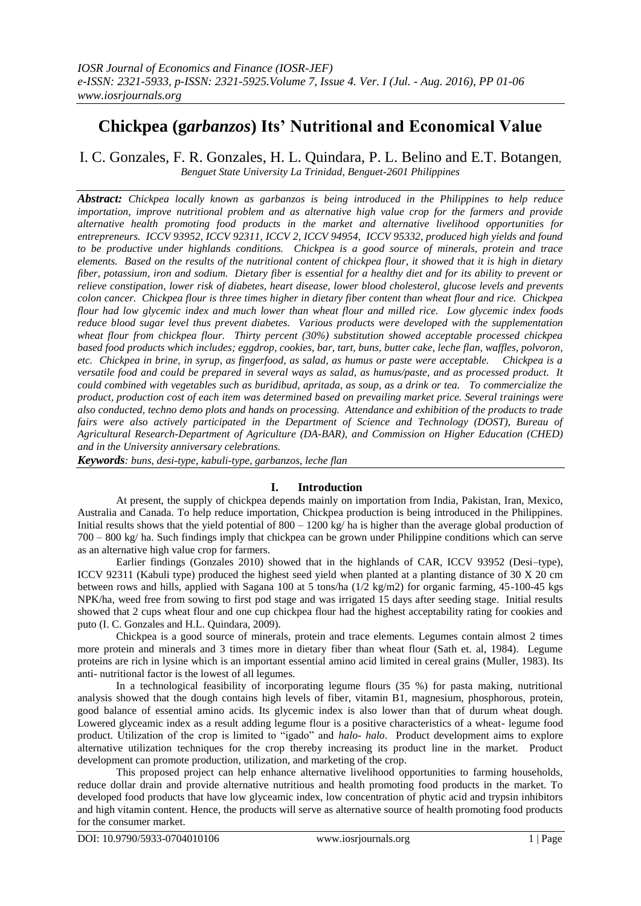# **Chickpea (g***arbanzos***) Its' Nutritional and Economical Value**

I. C. Gonzales, F. R. Gonzales, H. L. Quindara, P. L. Belino and E.T. Botangen, *Benguet State University La Trinidad, Benguet-2601 Philippines*

*Abstract: Chickpea locally known as garbanzos is being introduced in the Philippines to help reduce importation, improve nutritional problem and as alternative high value crop for the farmers and provide alternative health promoting food products in the market and alternative livelihood opportunities for entrepreneurs. ICCV 93952, ICCV 92311, ICCV 2, ICCV 94954, ICCV 95332, produced high yields and found to be productive under highlands conditions. Chickpea is a good source of minerals, protein and trace elements. Based on the results of the nutritional content of chickpea flour, it showed that it is high in dietary fiber, potassium, iron and sodium. Dietary fiber is essential for a healthy diet and for its ability to prevent or relieve constipation, lower risk of diabetes, heart disease, lower blood cholesterol, glucose levels and prevents colon cancer. Chickpea flour is three times higher in dietary fiber content than wheat flour and rice. Chickpea flour had low glycemic index and much lower than wheat flour and milled rice. Low glycemic index foods reduce blood sugar level thus prevent diabetes. Various products were developed with the supplementation wheat flour from chickpea flour. Thirty percent (30%) substitution showed acceptable processed chickpea based food products which includes; eggdrop, cookies, bar, tart, buns, butter cake, leche flan, waffles, polvoron, etc. Chickpea in brine, in syrup, as fingerfood, as salad, as humus or paste were acceptable. Chickpea is a versatile food and could be prepared in several ways as salad, as humus/paste, and as processed product. It could combined with vegetables such as buridibud, apritada, as soup, as a drink or tea. To commercialize the product, production cost of each item was determined based on prevailing market price. Several trainings were also conducted, techno demo plots and hands on processing. Attendance and exhibition of the products to trade*  fairs were also actively participated in the Department of Science and Technology (DOST), Bureau of *Agricultural Research-Department of Agriculture (DA-BAR), and Commission on Higher Education (CHED) and in the University anniversary celebrations.*

*Keywords: buns, desi-type, kabuli-type, garbanzos, leche flan*

## **I. Introduction**

At present, the supply of chickpea depends mainly on importation from India, Pakistan, Iran, Mexico, Australia and Canada. To help reduce importation, Chickpea production is being introduced in the Philippines. Initial results shows that the yield potential of  $800 - 1200$  kg/ ha is higher than the average global production of 700 – 800 kg/ ha. Such findings imply that chickpea can be grown under Philippine conditions which can serve as an alternative high value crop for farmers.

Earlier findings (Gonzales 2010) showed that in the highlands of CAR, ICCV 93952 (Desi–type), ICCV 92311 (Kabuli type) produced the highest seed yield when planted at a planting distance of 30 X 20 cm between rows and hills, applied with Sagana 100 at 5 tons/ha (1/2 kg/m2) for organic farming, 45-100-45 kgs NPK/ha, weed free from sowing to first pod stage and was irrigated 15 days after seeding stage. Initial results showed that 2 cups wheat flour and one cup chickpea flour had the highest acceptability rating for cookies and puto (I. C. Gonzales and H.L. Quindara, 2009).

Chickpea is a good source of minerals, protein and trace elements. Legumes contain almost 2 times more protein and minerals and 3 times more in dietary fiber than wheat flour (Sath et. al, 1984). Legume proteins are rich in lysine which is an important essential amino acid limited in cereal grains (Muller, 1983). Its anti- nutritional factor is the lowest of all legumes.

In a technological feasibility of incorporating legume flours (35 %) for pasta making, nutritional analysis showed that the dough contains high levels of fiber, vitamin B1, magnesium, phosphorous, protein, good balance of essential amino acids. Its glycemic index is also lower than that of durum wheat dough. Lowered glyceamic index as a result adding legume flour is a positive characteristics of a wheat- legume food product. Utilization of the crop is limited to "igado" and *halo- halo*. Product development aims to explore alternative utilization techniques for the crop thereby increasing its product line in the market. Product development can promote production, utilization, and marketing of the crop.

This proposed project can help enhance alternative livelihood opportunities to farming households, reduce dollar drain and provide alternative nutritious and health promoting food products in the market. To developed food products that have low glyceamic index, low concentration of phytic acid and trypsin inhibitors and high vitamin content. Hence, the products will serve as alternative source of health promoting food products for the consumer market.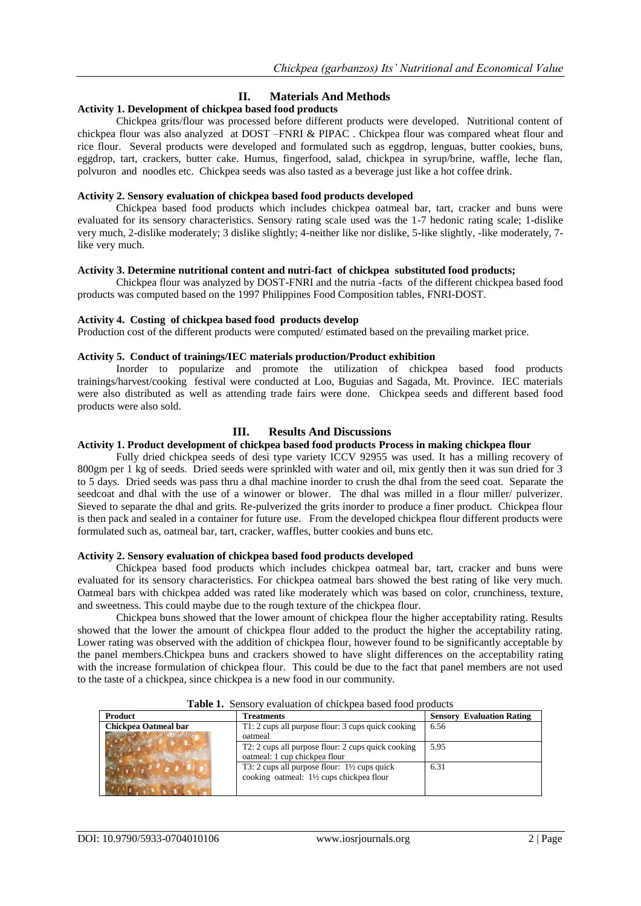# **II. Materials And Methods**

## **Activity 1. Development of chickpea based food products**

Chickpea grits/flour was processed before different products were developed. Nutritional content of chickpea flour was also analyzed at DOST –FNRI & PIPAC . Chickpea flour was compared wheat flour and rice flour. Several products were developed and formulated such as eggdrop, lenguas, butter cookies, buns, eggdrop, tart, crackers, butter cake. Humus, fingerfood, salad, chickpea in syrup/brine, waffle, leche flan, polvuron and noodles etc. Chickpea seeds was also tasted as a beverage just like a hot coffee drink.

#### **Activity 2. Sensory evaluation of chickpea based food products developed**

Chickpea based food products which includes chickpea oatmeal bar, tart, cracker and buns were evaluated for its sensory characteristics. Sensory rating scale used was the 1-7 hedonic rating scale; 1-dislike very much, 2-dislike moderately; 3 dislike slightly; 4-neither like nor dislike, 5-like slightly, -like moderately, 7 like very much.

#### **Activity 3. Determine nutritional content and nutri-fact of chickpea substituted food products;**

Chickpea flour was analyzed by DOST-FNRI and the nutria -facts of the different chickpea based food products was computed based on the 1997 Philippines Food Composition tables, FNRI-DOST.

#### **Activity 4. Costing of chickpea based food products develop**

Production cost of the different products were computed/ estimated based on the prevailing market price.

#### **Activity 5. Conduct of trainings/IEC materials production/Product exhibition**

Inorder to popularize and promote the utilization of chickpea based food products trainings/harvest/cooking festival were conducted at Loo, Buguias and Sagada, Mt. Province. IEC materials were also distributed as well as attending trade fairs were done. Chickpea seeds and different based food products were also sold.

## **III. Results And Discussions**

## **Activity 1. Product development of chickpea based food products Process in making chickpea flour**

Fully dried chickpea seeds of desi type variety ICCV 92955 was used. It has a milling recovery of 800gm per 1 kg of seeds. Dried seeds were sprinkled with water and oil, mix gently then it was sun dried for 3 to 5 days. Dried seeds was pass thru a dhal machine inorder to crush the dhal from the seed coat. Separate the seedcoat and dhal with the use of a winower or blower. The dhal was milled in a flour miller/ pulverizer. Sieved to separate the dhal and grits. Re-pulverized the grits inorder to produce a finer product. Chickpea flour is then pack and sealed in a container for future use. From the developed chickpea flour different products were formulated such as, oatmeal bar, tart, cracker, waffles, butter cookies and buns etc.

### **Activity 2. Sensory evaluation of chickpea based food products developed**

Chickpea based food products which includes chickpea oatmeal bar, tart, cracker and buns were evaluated for its sensory characteristics. For chickpea oatmeal bars showed the best rating of like very much. Oatmeal bars with chickpea added was rated like moderately which was based on color, crunchiness, texture, and sweetness. This could maybe due to the rough texture of the chickpea flour.

Chickpea buns showed that the lower amount of chickpea flour the higher acceptability rating. Results showed that the lower the amount of chickpea flour added to the product the higher the acceptability rating. Lower rating was observed with the addition of chickpea flour, however found to be significantly acceptable by the panel members.Chickpea buns and crackers showed to have slight differences on the acceptability rating with the increase formulation of chickpea flour. This could be due to the fact that panel members are not used to the taste of a chickpea, since chickpea is a new food in our community.

| <b>Product</b>       | Treatments                                              | <b>Sensory Evaluation Rating</b> |
|----------------------|---------------------------------------------------------|----------------------------------|
| Chickpea Oatmeal bar | T1: 2 cups all purpose flour: 3 cups quick cooking      | 6.56                             |
|                      | oatmeal                                                 |                                  |
|                      | T2: 2 cups all purpose flour: 2 cups quick cooking      | 5.95                             |
|                      | oatmeal: 1 cup chickpea flour                           |                                  |
|                      | T3: 2 cups all purpose flour: $1\frac{1}{2}$ cups quick | 6.31                             |
|                      | cooking oatmeal: 1½ cups chickpea flour                 |                                  |
|                      |                                                         |                                  |

**Table 1.** Sensory evaluation of chickpea based food products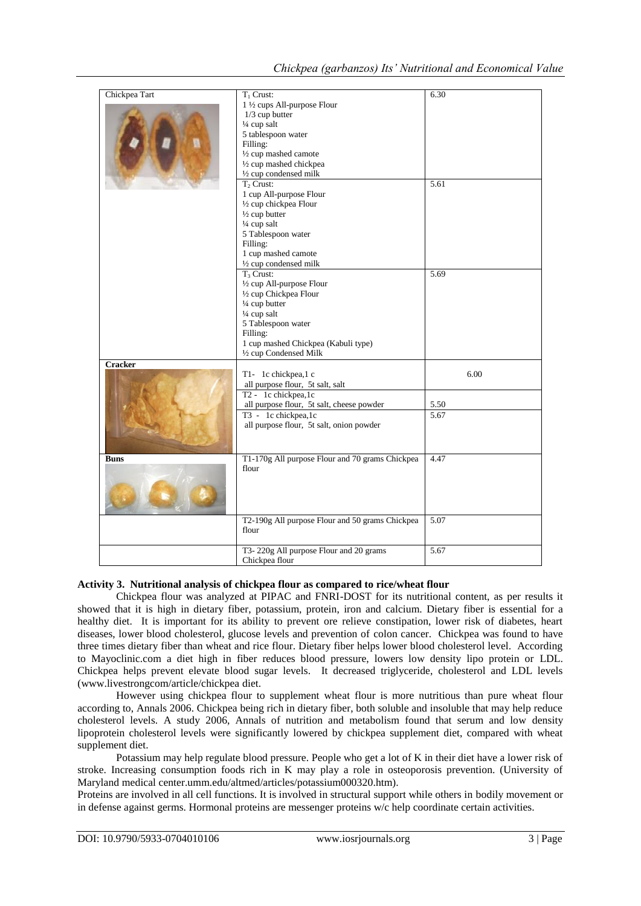| Chickpea Tart  | $T_1$ Crust:                                    | 6.30 |
|----------------|-------------------------------------------------|------|
|                | 1 ½ cups All-purpose Flour                      |      |
|                | $1/3$ cup butter                                |      |
|                | $\frac{1}{4}$ cup salt                          |      |
|                | 5 tablespoon water                              |      |
|                | Filling:                                        |      |
|                |                                                 |      |
|                | 1/2 cup mashed camote                           |      |
|                | 1/2 cup mashed chickpea                         |      |
|                | 1/2 cup condensed milk                          |      |
|                | $T_2$ Crust:                                    | 5.61 |
|                | 1 cup All-purpose Flour                         |      |
|                | 1/2 cup chickpea Flour                          |      |
|                | $\frac{1}{2}$ cup butter                        |      |
|                | $\frac{1}{4}$ cup salt                          |      |
|                | 5 Tablespoon water                              |      |
|                |                                                 |      |
|                | Filling:                                        |      |
|                | 1 cup mashed camote                             |      |
|                | 1/2 cup condensed milk                          |      |
|                | $T_3$ Crust:                                    | 5.69 |
|                | 1/2 cup All-purpose Flour                       |      |
|                | 1/2 cup Chickpea Flour                          |      |
|                | 1/4 cup butter                                  |      |
|                | $\frac{1}{4}$ cup salt                          |      |
|                | 5 Tablespoon water                              |      |
|                | Filling:                                        |      |
|                |                                                 |      |
|                | 1 cup mashed Chickpea (Kabuli type)             |      |
|                | 1/2 cup Condensed Milk                          |      |
| <b>Cracker</b> |                                                 |      |
|                | T1- 1c chickpea,1 c                             | 6.00 |
|                | all purpose flour, 5t salt, salt                |      |
|                | T2 - 1c chickpea,1c                             |      |
|                | all purpose flour, 5t salt, cheese powder       | 5.50 |
|                | T3 - 1c chickpea,1c                             | 5.67 |
|                |                                                 |      |
|                | all purpose flour, 5t salt, onion powder        |      |
|                |                                                 |      |
|                |                                                 |      |
| <b>Buns</b>    | T1-170g All purpose Flour and 70 grams Chickpea | 4.47 |
|                | flour                                           |      |
|                |                                                 |      |
|                |                                                 |      |
|                |                                                 |      |
|                |                                                 |      |
|                |                                                 |      |
|                | T2-190g All purpose Flour and 50 grams Chickpea | 5.07 |
|                | flour                                           |      |
|                |                                                 |      |
|                |                                                 |      |
|                | T3-220g All purpose Flour and 20 grams          | 5.67 |
|                | Chickpea flour                                  |      |

## **Activity 3. Nutritional analysis of chickpea flour as compared to rice/wheat flour**

Chickpea flour was analyzed at PIPAC and FNRI-DOST for its nutritional content, as per results it showed that it is high in dietary fiber, potassium, protein, iron and calcium. Dietary fiber is essential for a healthy diet. It is important for its ability to prevent ore relieve constipation, lower risk of diabetes, heart diseases, lower blood cholesterol, glucose levels and prevention of colon cancer. Chickpea was found to have three times dietary fiber than wheat and rice flour. Dietary fiber helps lower blood cholesterol level. According to Mayoclinic.com a diet high in fiber reduces blood pressure, lowers low density lipo protein or LDL. Chickpea helps prevent elevate blood sugar levels. It decreased triglyceride, cholesterol and LDL levels [\(www.livestrongcom/article/chickpea](http://www.livestrongcom/article/chickpea) diet.

However using chickpea flour to supplement wheat flour is more nutritious than pure wheat flour according to, Annals 2006. Chickpea being rich in dietary fiber, both soluble and insoluble that may help reduce cholesterol levels. A study 2006, Annals of nutrition and metabolism found that serum and low density lipoprotein cholesterol levels were significantly lowered by chickpea supplement diet, compared with wheat supplement diet.

Potassium may help regulate blood pressure. People who get a lot of K in their diet have a lower risk of stroke. Increasing consumption foods rich in K may play a role in osteoporosis prevention. (University of Maryland medical center.umm.edu/altmed/articles/potassium000320.htm).

Proteins are involved in all cell functions. It is involved in structural support while others in bodily movement or in defense against germs. Hormonal proteins are messenger proteins w/c help coordinate certain activities.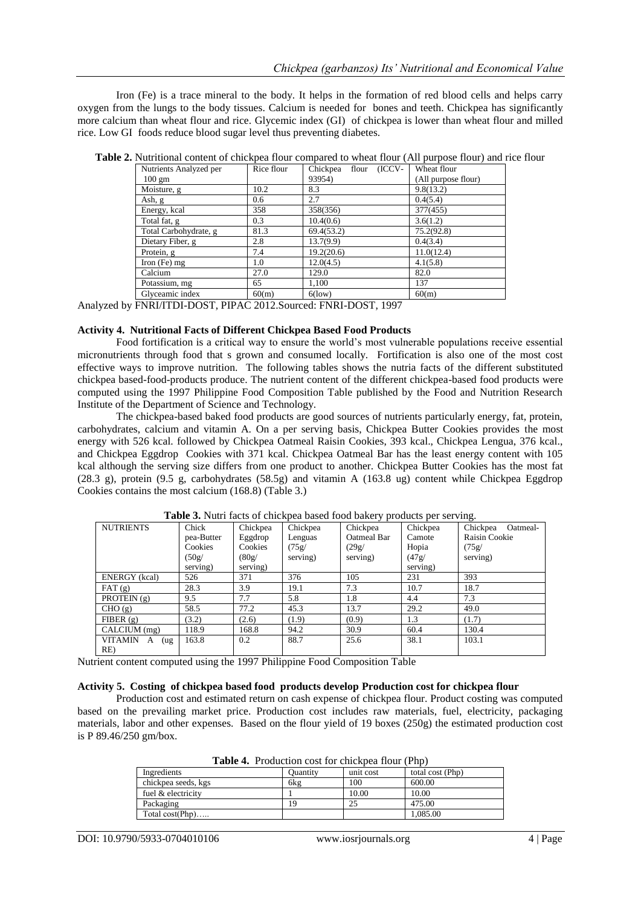Iron (Fe) is a trace mineral to the body. It helps in the formation of red blood cells and helps carry oxygen from the lungs to the body tissues. Calcium is needed for bones and teeth. Chickpea has significantly more calcium than wheat flour and rice. Glycemic index (GI) of chickpea is lower than wheat flour and milled rice. Low GI foods reduce blood sugar level thus preventing diabetes.

| Nutrients Analyzed per | Rice flour | (ICCV-<br>Chickpea flour | Wheat flour         |
|------------------------|------------|--------------------------|---------------------|
| $100 \text{ gm}$       |            | 93954)                   | (All purpose flour) |
| Moisture, g            | 10.2       | 8.3                      | 9.8(13.2)           |
| Ash, g                 | 0.6        | 2.7                      | 0.4(5.4)            |
| Energy, kcal           | 358        | 358(356)                 | 377(455)            |
| Total fat, g           | 0.3        | 10.4(0.6)                | 3.6(1.2)            |
| Total Carbohydrate, g  | 81.3       | 69.4(53.2)               | 75.2(92.8)          |
| Dietary Fiber, g       | 2.8        | 13.7(9.9)                | 0.4(3.4)            |
| Protein, g             | 7.4        | 19.2(20.6)               | 11.0(12.4)          |
| Iron $(Fe)$ mg         | 1.0        | 12.0(4.5)                | 4.1(5.8)            |
| Calcium                | 27.0       | 129.0                    | 82.0                |
| Potassium, mg          | 65         | 1,100                    | 137                 |
| Glyceamic index        | 60(m)      | $6$ (low)                | 60(m)               |

**Table 2.** Nutritional content of chickpea flour compared to wheat flour (All purpose flour) and rice flour

Analyzed by FNRI/ITDI-DOST, PIPAC 2012.Sourced: FNRI-DOST, 1997

#### **Activity 4. Nutritional Facts of Different Chickpea Based Food Products**

Food fortification is a critical way to ensure the world's most vulnerable populations receive essential micronutrients through food that s grown and consumed locally. Fortification is also one of the most cost effective ways to improve nutrition. The following tables shows the nutria facts of the different substituted chickpea based-food-products produce. The nutrient content of the different chickpea-based food products were computed using the 1997 Philippine Food Composition Table published by the Food and Nutrition Research Institute of the Department of Science and Technology.

The chickpea-based baked food products are good sources of nutrients particularly energy, fat, protein, carbohydrates, calcium and vitamin A. On a per serving basis, Chickpea Butter Cookies provides the most energy with 526 kcal. followed by Chickpea Oatmeal Raisin Cookies, 393 kcal., Chickpea Lengua, 376 kcal., and Chickpea Eggdrop Cookies with 371 kcal. Chickpea Oatmeal Bar has the least energy content with 105 kcal although the serving size differs from one product to another. Chickpea Butter Cookies has the most fat (28.3 g), protein (9.5 g, carbohydrates (58.5g) and vitamin A (163.8 ug) content while Chickpea Eggdrop Cookies contains the most calcium (168.8) (Table 3.)

| <b>NUTRIENTS</b>     | Chick      | Chickpea | Chickpea | - -<br>Chickpea | Chickpea | Chickpea<br>Oatmeal- |
|----------------------|------------|----------|----------|-----------------|----------|----------------------|
|                      | pea-Butter | Eggdrop  | Lenguas  | Oatmeal Bar     | Camote   | Raisin Cookie        |
|                      | Cookies    | Cookies  | (75g/    | (29g/           | Hopia    | (75g)                |
|                      | (50g)      | (80g)    | serving) | serving)        | (47g)    | serving)             |
|                      | serving)   | serving) |          |                 | serving) |                      |
| <b>ENERGY</b> (kcal) | 526        | 371      | 376      | 105             | 231      | 393                  |
| FAT(g)               | 28.3       | 3.9      | 19.1     | 7.3             | 10.7     | 18.7                 |
| PROTEIN $(g)$        | 9.5        | 7.7      | 5.8      | 1.8             | 4.4      | 7.3                  |
| CHO(g)               | 58.5       | 77.2     | 45.3     | 13.7            | 29.2     | 49.0                 |
| FIBER $(g)$          | (3.2)      | (2.6)    | (1.9)    | (0.9)           | 1.3      | (1.7)                |
| CALCIUM (mg)         | 118.9      | 168.8    | 94.2     | 30.9            | 60.4     | 130.4                |
| VITAMIN A<br>(ug)    | 163.8      | 0.2      | 88.7     | 25.6            | 38.1     | 103.1                |
| RE                   |            |          |          |                 |          |                      |

**Table 3.** Nutri facts of chickpea based food bakery products per serving.

Nutrient content computed using the 1997 Philippine Food Composition Table

#### **Activity 5. Costing of chickpea based food products develop Production cost for chickpea flour**

Production cost and estimated return on cash expense of chickpea flour. Product costing was computed based on the prevailing market price. Production cost includes raw materials, fuel, electricity, packaging materials, labor and other expenses. Based on the flour yield of 19 boxes (250g) the estimated production cost is P 89.46/250 gm/box.

| <b>Table 4.</b> I found fost for chickped from (1 lip) |                 |           |                  |  |  |
|--------------------------------------------------------|-----------------|-----------|------------------|--|--|
| Ingredients                                            | <b>Ouantity</b> | unit cost | total cost (Php) |  |  |
| chickpea seeds, kgs                                    | 6kg             | 100       | 600.00           |  |  |
| fuel & electricity                                     |                 | 10.00     | 10.00            |  |  |
| Packaging                                              |                 |           | 475.00           |  |  |
| Total $cost(Php)$                                      |                 |           | 1,085.00         |  |  |

**Table 4.** Production cost for chickpea flour (Php)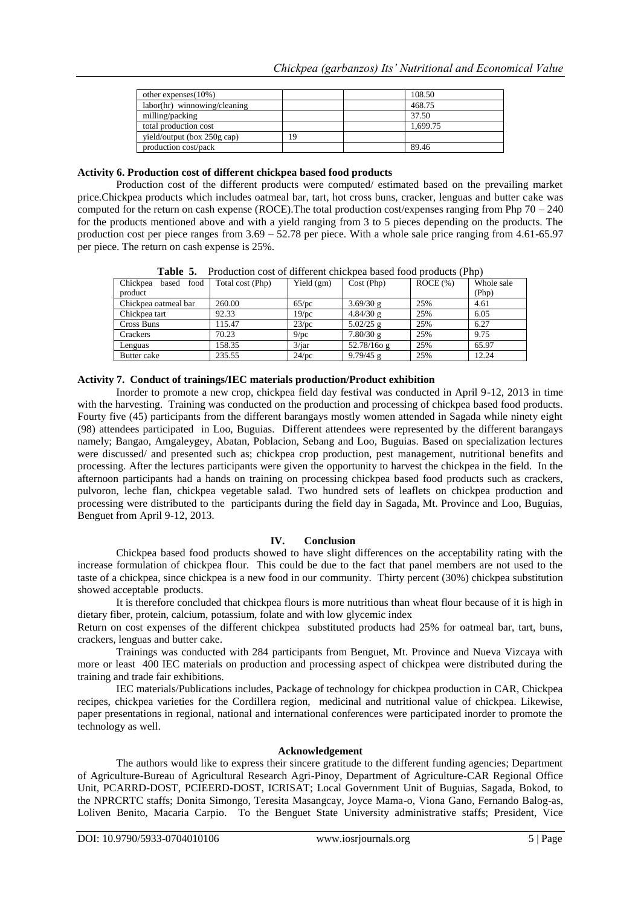| other expenses $(10\%)$      |    | 108.50   |
|------------------------------|----|----------|
| labor(hr) winnowing/cleaning |    | 468.75   |
| milling/packing              |    | 37.50    |
| total production cost        |    | 1.699.75 |
| yield/output (box 250g cap)  | 19 |          |
| production cost/pack         |    | 89.46    |

#### **Activity 6. Production cost of different chickpea based food products**

Production cost of the different products were computed/ estimated based on the prevailing market price.Chickpea products which includes oatmeal bar, tart, hot cross buns, cracker, lenguas and butter cake was computed for the return on cash expense (ROCE).The total production cost/expenses ranging from Php 70 – 240 for the products mentioned above and with a yield ranging from 3 to 5 pieces depending on the products. The production cost per piece ranges from 3.69 – 52.78 per piece. With a whole sale price ranging from 4.61-65.97 per piece. The return on cash expense is 25%.

| таріе э.<br>Production cost of unferent chickbea based food products (PhD) |                  |              |               |         |            |  |
|----------------------------------------------------------------------------|------------------|--------------|---------------|---------|------------|--|
| Chickpea<br>food<br>based                                                  | Total cost (Php) | Yield $(gm)$ | Cost (Php)    | ROCE(%) | Whole sale |  |
| product                                                                    |                  |              |               |         | (Php)      |  |
| Chickpea oatmeal bar                                                       | 260.00           | 65/nc        | 3.69/30 g     | 25%     | 4.61       |  |
| Chickpea tart                                                              | 92.33            | $19$ /pc     | 4.84/30 g     | 25%     | 6.05       |  |
| Cross Buns                                                                 | 115.47           | 23/pc        | $5.02/25$ g   | 25%     | 6.27       |  |
| Crackers                                                                   | 70.23            | 9/pc         | 7.80/30 g     | 25%     | 9.75       |  |
| Lenguas                                                                    | 158.35           | $3/$ jar     | $52.78/160$ g | 25%     | 65.97      |  |
| Butter cake                                                                | 235.55           | $24$ /pc     | $9.79/45$ g   | 25%     | 12.24      |  |

**Table 5.** Production cost of different chickpea based food products (Php)

#### **Activity 7. Conduct of trainings/IEC materials production/Product exhibition**

Inorder to promote a new crop, chickpea field day festival was conducted in April 9-12, 2013 in time with the harvesting. Training was conducted on the production and processing of chickpea based food products. Fourty five (45) participants from the different barangays mostly women attended in Sagada while ninety eight (98) attendees participated in Loo, Buguias. Different attendees were represented by the different barangays namely; Bangao, Amgaleygey, Abatan, Poblacion, Sebang and Loo, Buguias. Based on specialization lectures were discussed/ and presented such as; chickpea crop production, pest management, nutritional benefits and processing. After the lectures participants were given the opportunity to harvest the chickpea in the field. In the afternoon participants had a hands on training on processing chickpea based food products such as crackers, pulvoron, leche flan, chickpea vegetable salad. Two hundred sets of leaflets on chickpea production and processing were distributed to the participants during the field day in Sagada, Mt. Province and Loo, Buguias, Benguet from April 9-12, 2013.

#### **IV. Conclusion**

Chickpea based food products showed to have slight differences on the acceptability rating with the increase formulation of chickpea flour. This could be due to the fact that panel members are not used to the taste of a chickpea, since chickpea is a new food in our community. Thirty percent (30%) chickpea substitution showed acceptable products.

It is therefore concluded that chickpea flours is more nutritious than wheat flour because of it is high in dietary fiber, protein, calcium, potassium, folate and with low glycemic index

Return on cost expenses of the different chickpea substituted products had 25% for oatmeal bar, tart, buns, crackers, lenguas and butter cake.

Trainings was conducted with 284 participants from Benguet, Mt. Province and Nueva Vizcaya with more or least 400 IEC materials on production and processing aspect of chickpea were distributed during the training and trade fair exhibitions.

IEC materials/Publications includes, Package of technology for chickpea production in CAR, Chickpea recipes, chickpea varieties for the Cordillera region, medicinal and nutritional value of chickpea. Likewise, paper presentations in regional, national and international conferences were participated inorder to promote the technology as well.

#### **Acknowledgement**

The authors would like to express their sincere gratitude to the different funding agencies; Department of Agriculture-Bureau of Agricultural Research Agri-Pinoy, Department of Agriculture-CAR Regional Office Unit, PCARRD-DOST, PCIEERD-DOST, ICRISAT; Local Government Unit of Buguias, Sagada, Bokod, to the NPRCRTC staffs; Donita Simongo, Teresita Masangcay, Joyce Mama-o, Viona Gano, Fernando Balog-as, Loliven Benito, Macaria Carpio. To the Benguet State University administrative staffs; President, Vice